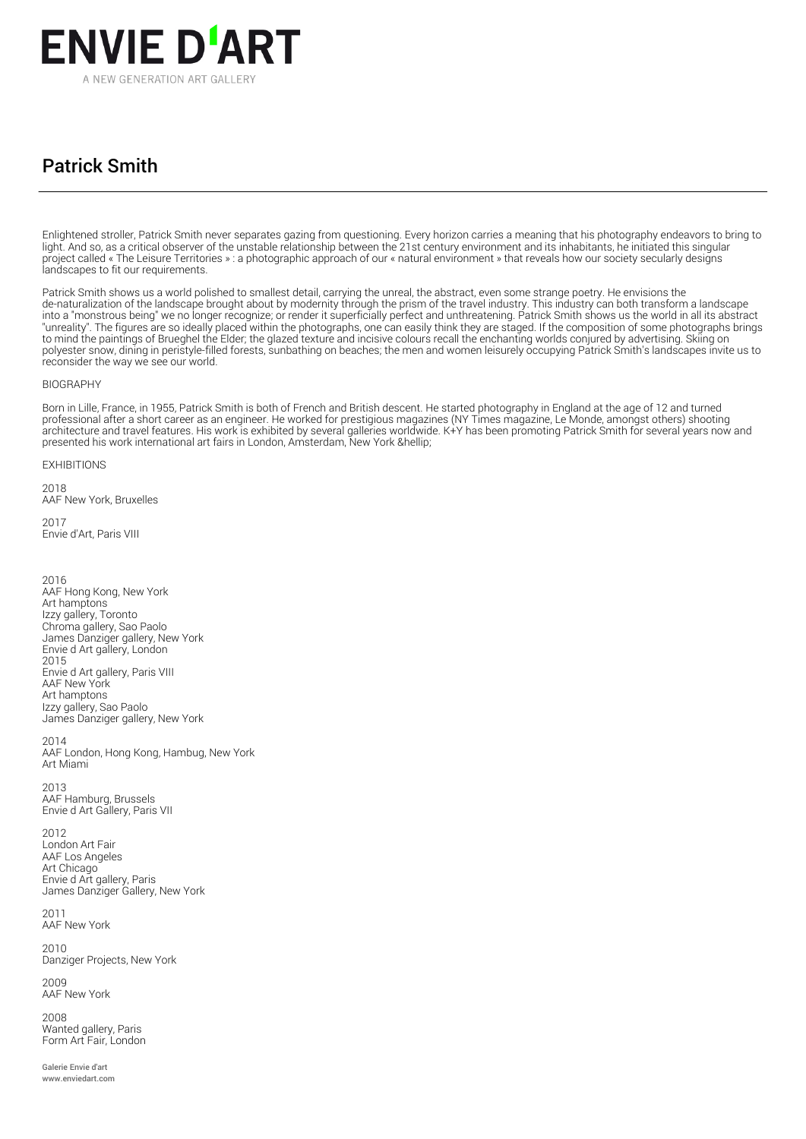

## Patrick Smith

Enlightened stroller, Patrick Smith never separates gazing from questioning. Every horizon carries a meaning that his photography endeavors to bring to light. And so, as a critical observer of the unstable relationship between the 21st century environment and its inhabitants, he initiated this singular project called « The Leisure Territories » : a photographic approach of our « natural environment » that reveals how our society secularly designs landscapes to fit our requirements.

Patrick Smith shows us a world polished to smallest detail, carrying the unreal, the abstract, even some strange poetry. He envisions the de-naturalization of the landscape brought about by modernity through the prism of the travel industry. This industry can both transform a landscape into a "monstrous being" we no longer recognize; or render it superficially perfect and unthreatening. Patrick Smith shows us the world in all its abstract "unreality". The figures are so ideally placed within the photographs, one can easily think they are staged. If the composition of some photographs brings to mind the paintings of Brueghel the Elder; the glazed texture and incisive colours recall the enchanting worlds conjured by advertising. Skiing on polyester snow, dining in peristyle-filled forests, sunbathing on beaches; the men and women leisurely occupying Patrick Smith's landscapes invite us to reconsider the way we see our world.

## BIOGRAPHY

Born in Lille, France, in 1955, Patrick Smith is both of French and British descent. He started photography in England at the age of 12 and turned professional after a short career as an engineer. He worked for prestigious magazines (NY Times magazine, Le Monde, amongst others) shooting architecture and travel features. His work is exhibited by several galleries worldwide. K+Y has been promoting Patrick Smith for several years now and presented his work international art fairs in London, Amsterdam, New York …

EXHIBITIONS

 $2018$ AAF New York, Bruxelles 2017

Envie d'Art, Paris VIII

2016 AAF Hong Kong, New York Art hamptons Izzy gallery, Toronto Chroma gallery, Sao Paolo James Danziger gallery, New York Envie d Art gallery, London 2015 Envie d Art gallery, Paris VIII AAF New York Art hamptons Izzy gallery, Sao Paolo James Danziger gallery, New York

2014 AAF London, Hong Kong, Hambug, New York Art Miami

2013 AAF Hamburg, Brussels Envie d Art Gallery, Paris VII

2012 London Art Fair AAF Los Angeles Art Chicago Envie d Art gallery, Paris James Danziger Gallery, New York

2011 AAF New York

2010 Danziger Projects, New York

2009 AAF New York

2008 Wanted gallery, Paris Form Art Fair, London

Galerie Envie d'art www.enviedart.com